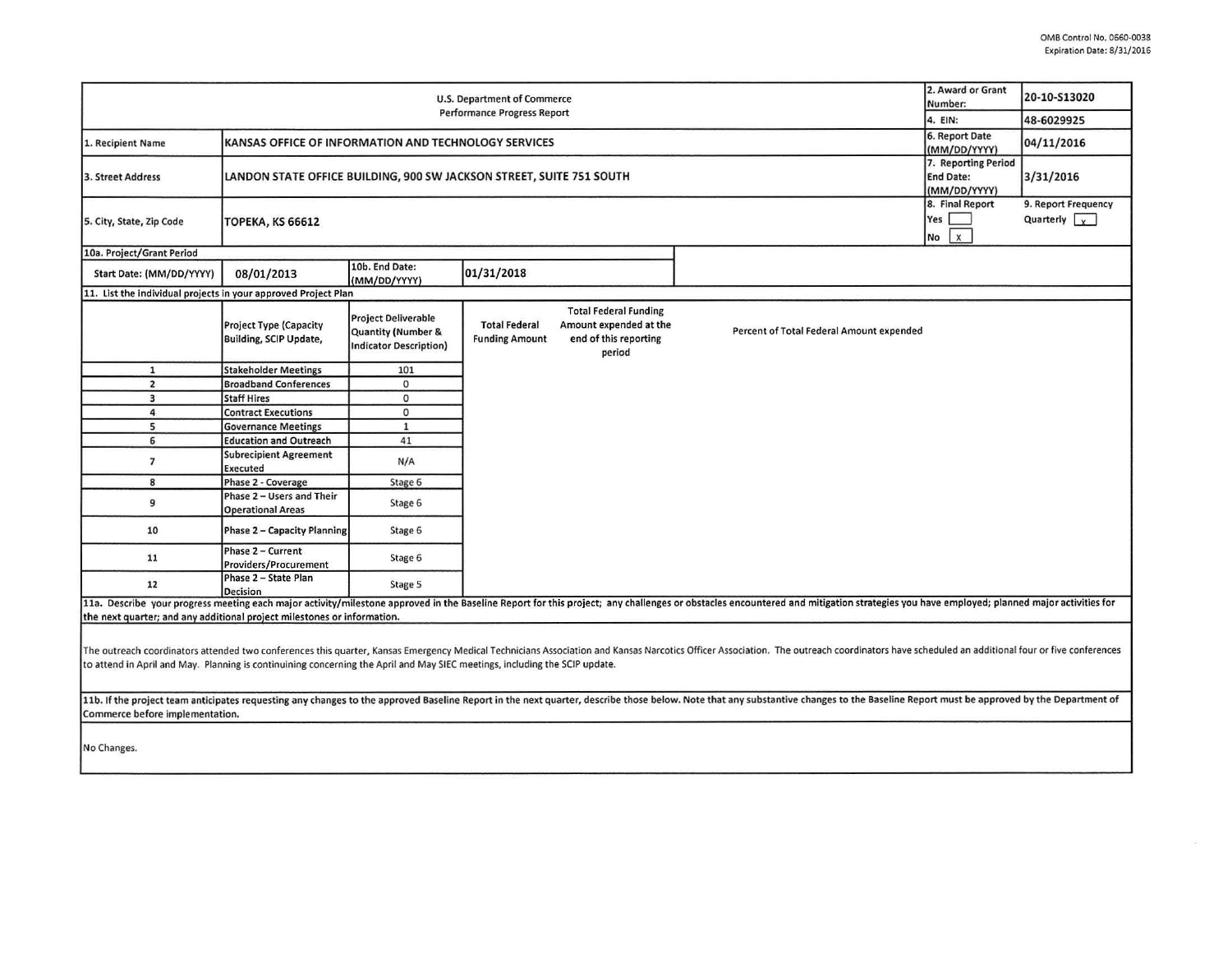| 2. Award or Grant<br><b>U.S. Department of Commerce</b><br>Number:<br>Performance Progress Report<br>4. EIN:                                                                                                                                                                                                                                                  |                                                                                                                                                 |                                                                                   |                                               |                                                                                           |                                          |  | 20-10-S13020                                |  |
|---------------------------------------------------------------------------------------------------------------------------------------------------------------------------------------------------------------------------------------------------------------------------------------------------------------------------------------------------------------|-------------------------------------------------------------------------------------------------------------------------------------------------|-----------------------------------------------------------------------------------|-----------------------------------------------|-------------------------------------------------------------------------------------------|------------------------------------------|--|---------------------------------------------|--|
|                                                                                                                                                                                                                                                                                                                                                               |                                                                                                                                                 |                                                                                   |                                               |                                                                                           |                                          |  | 48-6029925                                  |  |
| 1. Recipient Name                                                                                                                                                                                                                                                                                                                                             | 6. Report Date<br>KANSAS OFFICE OF INFORMATION AND TECHNOLOGY SERVICES                                                                          |                                                                                   |                                               |                                                                                           |                                          |  | 04/11/2016                                  |  |
| 3. Street Address                                                                                                                                                                                                                                                                                                                                             | (MM/DD/YYYY)<br>7. Reporting Period<br>LANDON STATE OFFICE BUILDING, 900 SW JACKSON STREET, SUITE 751 SOUTH<br><b>End Date:</b><br>(MM/DD/YYYY) |                                                                                   |                                               |                                                                                           |                                          |  | 3/31/2016                                   |  |
| 5. City, State, Zip Code                                                                                                                                                                                                                                                                                                                                      | 8. Final Report<br>Yes<br><b>ТОРЕКА, КЅ 66612</b><br>No                                                                                         |                                                                                   |                                               |                                                                                           |                                          |  | 9. Report Frequency<br>Quarterly $\sqrt{y}$ |  |
| 10a. Project/Grant Period                                                                                                                                                                                                                                                                                                                                     |                                                                                                                                                 |                                                                                   |                                               |                                                                                           |                                          |  |                                             |  |
| Start Date: (MM/DD/YYYY)                                                                                                                                                                                                                                                                                                                                      | 08/01/2013                                                                                                                                      | 10b. End Date:<br>(MM/DD/YYYY)                                                    | 01/31/2018                                    |                                                                                           |                                          |  |                                             |  |
| 11. List the individual projects in your approved Project Plan                                                                                                                                                                                                                                                                                                |                                                                                                                                                 |                                                                                   |                                               |                                                                                           |                                          |  |                                             |  |
|                                                                                                                                                                                                                                                                                                                                                               | <b>Project Type (Capacity</b><br><b>Building, SCIP Update,</b>                                                                                  | <b>Project Deliverable</b><br>Quantity (Number &<br><b>Indicator Description)</b> | <b>Total Federal</b><br><b>Funding Amount</b> | <b>Total Federal Funding</b><br>Amount expended at the<br>end of this reporting<br>period | Percent of Total Federal Amount expended |  |                                             |  |
| $\mathbf{1}$                                                                                                                                                                                                                                                                                                                                                  | <b>Stakeholder Meetings</b>                                                                                                                     | 101                                                                               |                                               |                                                                                           |                                          |  |                                             |  |
| $\overline{2}$                                                                                                                                                                                                                                                                                                                                                | <b>Broadband Conferences</b>                                                                                                                    | $\mathbf 0$                                                                       |                                               |                                                                                           |                                          |  |                                             |  |
| $\overline{\mathbf{3}}$                                                                                                                                                                                                                                                                                                                                       | <b>Staff Hires</b>                                                                                                                              | $\mathbf 0$                                                                       |                                               |                                                                                           |                                          |  |                                             |  |
| $\overline{4}$                                                                                                                                                                                                                                                                                                                                                | <b>Contract Executions</b>                                                                                                                      | $\circ$                                                                           |                                               |                                                                                           |                                          |  |                                             |  |
| 5                                                                                                                                                                                                                                                                                                                                                             | <b>Governance Meetings</b>                                                                                                                      | $\mathbf{1}$                                                                      |                                               |                                                                                           |                                          |  |                                             |  |
| 6                                                                                                                                                                                                                                                                                                                                                             | <b>Education and Outreach</b>                                                                                                                   | 41                                                                                |                                               |                                                                                           |                                          |  |                                             |  |
| $\overline{7}$                                                                                                                                                                                                                                                                                                                                                | <b>Subrecipient Agreement</b><br>Executed                                                                                                       | N/A                                                                               |                                               |                                                                                           |                                          |  |                                             |  |
| 8                                                                                                                                                                                                                                                                                                                                                             | Phase 2 - Coverage                                                                                                                              | Stage 6                                                                           |                                               |                                                                                           |                                          |  |                                             |  |
| 9                                                                                                                                                                                                                                                                                                                                                             | Phase 2 - Users and Their<br><b>Operational Areas</b>                                                                                           | Stage 6                                                                           |                                               |                                                                                           |                                          |  |                                             |  |
| 10                                                                                                                                                                                                                                                                                                                                                            | Phase 2 - Capacity Planning                                                                                                                     | Stage 6                                                                           |                                               |                                                                                           |                                          |  |                                             |  |
| 11                                                                                                                                                                                                                                                                                                                                                            | Phase 2 - Current<br>Providers/Procurement                                                                                                      | Stage 6                                                                           |                                               |                                                                                           |                                          |  |                                             |  |
| 12                                                                                                                                                                                                                                                                                                                                                            | Phase 2 - State Plan<br><b>Decision</b>                                                                                                         | Stage 5                                                                           |                                               |                                                                                           |                                          |  |                                             |  |
| 11a. Describe your progress meeting each major activity/milestone approved in the Baseline Report for this project; any challenges or obstacles encountered and mitigation strategies you have employed; planned major activit                                                                                                                                |                                                                                                                                                 |                                                                                   |                                               |                                                                                           |                                          |  |                                             |  |
| the next quarter; and any additional project milestones or information.                                                                                                                                                                                                                                                                                       |                                                                                                                                                 |                                                                                   |                                               |                                                                                           |                                          |  |                                             |  |
| The outreach coordinators attended two conferences this quarter, Kansas Emergency Medical Technicians Association and Kansas Narcotics Officer Association. The outreach coordinators have scheduled an additional four or fiv<br>to attend in April and May. Planning is continuining concerning the April and May SIEC meetings, including the SCIP update. |                                                                                                                                                 |                                                                                   |                                               |                                                                                           |                                          |  |                                             |  |
| 11b. If the project team anticipates requesting any changes to the approved Baseline Report in the next quarter, describe those below. Note that any substantive changes to the Baseline Report must be approved by the Depart<br>Commerce before implementation.                                                                                             |                                                                                                                                                 |                                                                                   |                                               |                                                                                           |                                          |  |                                             |  |
| No Changes.                                                                                                                                                                                                                                                                                                                                                   |                                                                                                                                                 |                                                                                   |                                               |                                                                                           |                                          |  |                                             |  |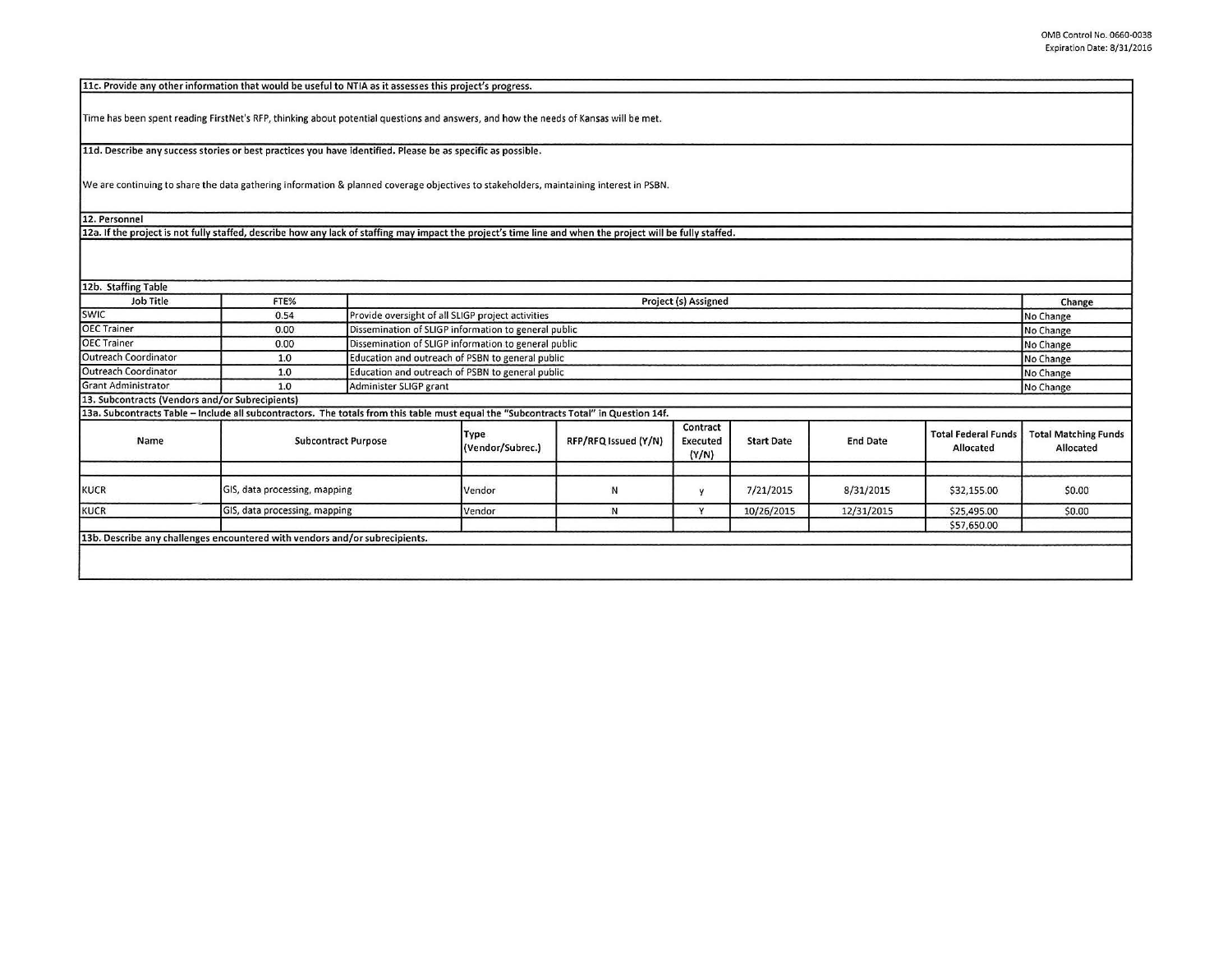11c. Provide any other information that would be useful to NTIA as it assesses this project's progress.

Time has been spent reading FirstNet's RFP, thinking about potential questions and answers, and how the needs of Kansas will be met.

11d. Describe any success stories or best practices you have identified. Please be as specific as possible.

We are continuing to share the data gathering information & planned coverage objectives to stakeholders, maintaining interest in PSBN.

12. Personnel

12a. If the project is not fully staffed, describe how any lack of staffing may impact the project's time line and when the project will be fully staffed.

| 12b. Staffing Table                             |                                                                                                                                       |                                                      |                          |                      |                                      |                   |                 |                                         |                                          |
|-------------------------------------------------|---------------------------------------------------------------------------------------------------------------------------------------|------------------------------------------------------|--------------------------|----------------------|--------------------------------------|-------------------|-----------------|-----------------------------------------|------------------------------------------|
| Job Title                                       | FTE%                                                                                                                                  |                                                      | Project (s) Assigned     |                      |                                      |                   |                 |                                         |                                          |
| <b>SWIC</b>                                     | 0.54                                                                                                                                  | Provide oversight of all SLIGP project activities    |                          |                      |                                      |                   |                 |                                         | No Change                                |
| <b>OEC</b> Trainer                              | 0.00                                                                                                                                  | Dissemination of SLIGP information to general public |                          |                      |                                      |                   |                 |                                         | No Change                                |
| <b>OEC Trainer</b>                              | 0.00                                                                                                                                  | Dissemination of SLIGP information to general public |                          |                      |                                      |                   |                 |                                         | No Change                                |
| Outreach Coordinator                            | 1.0                                                                                                                                   | Education and outreach of PSBN to general public     |                          |                      |                                      |                   |                 |                                         | No Change                                |
| Outreach Coordinator                            | 1.0                                                                                                                                   | Education and outreach of PSBN to general public     |                          |                      |                                      |                   |                 |                                         | No Change                                |
| <b>Grant Administrator</b>                      | 1.0                                                                                                                                   |                                                      | Administer SLIGP grant   |                      |                                      |                   |                 |                                         |                                          |
| 13. Subcontracts (Vendors and/or Subrecipients) |                                                                                                                                       |                                                      |                          |                      |                                      |                   |                 |                                         | No Change                                |
|                                                 | 13a. Subcontracts Table - Include all subcontractors. The totals from this table must equal the "Subcontracts Total" in Question 14f. |                                                      |                          |                      |                                      |                   |                 |                                         |                                          |
| Name                                            | <b>Subcontract Purpose</b>                                                                                                            |                                                      | Type<br>(Vendor/Subrec.) | RFP/RFQ Issued (Y/N) | Contract<br><b>Executed</b><br>(Y/N) | <b>Start Date</b> | <b>End Date</b> | <b>Total Federal Funds</b><br>Allocated | <b>Total Matching Funds</b><br>Allocated |
| <b>KUCR</b>                                     |                                                                                                                                       | GIS, data processing, mapping                        |                          | N                    | v                                    | 7/21/2015         | 8/31/2015       | \$32,155.00                             | \$0.00                                   |
| <b>KUCR</b>                                     |                                                                                                                                       | GIS, data processing, mapping                        |                          | N                    | $\mathbf{v}$                         | 10/26/2015        | 12/31/2015      | \$25,495.00                             | \$0.00                                   |
|                                                 |                                                                                                                                       |                                                      |                          |                      |                                      |                   |                 | \$57,650.00                             |                                          |
|                                                 | 13b. Describe any challenges encountered with vendors and/or subrecipients.                                                           |                                                      |                          |                      |                                      |                   |                 |                                         |                                          |
|                                                 |                                                                                                                                       |                                                      |                          |                      |                                      |                   |                 |                                         |                                          |
|                                                 |                                                                                                                                       |                                                      |                          |                      |                                      |                   |                 |                                         |                                          |
|                                                 |                                                                                                                                       |                                                      |                          |                      |                                      |                   |                 |                                         |                                          |